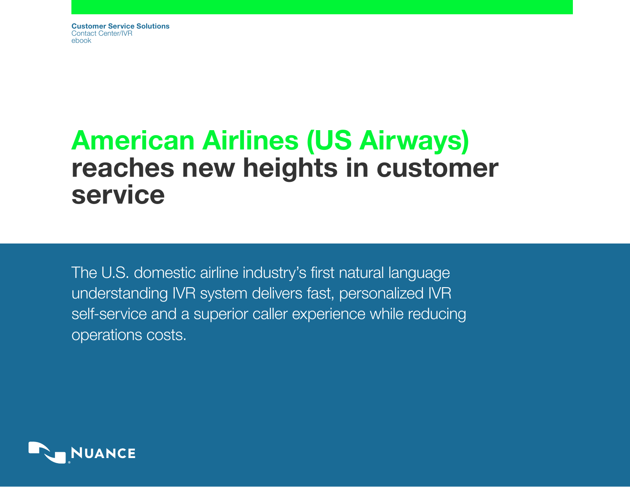Customer Service Solutions Contact Center/IVR ebook

# American Airlines (US Airways) reaches new heights in customer service

The U.S. domestic airline industry's first natural language understanding IVR system delivers fast, personalized IVR self-service and a superior caller experience while reducing operations costs.

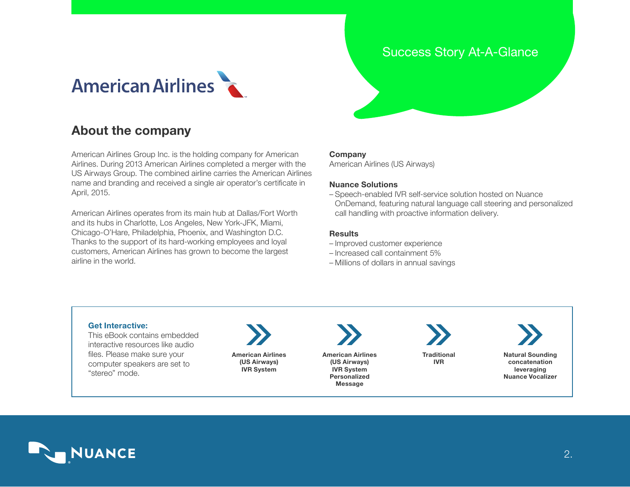## **American Airlines**

## About the company

American Airlines Group Inc. is the holding company for American Airlines. During 2013 American Airlines completed a merger with the US Airways Group. The combined airline carries the American Airlines name and branding and received a single air operator's certificate in April, 2015.

American Airlines operates from its main hub at Dallas/Fort Worth and its hubs in Charlotte, Los Angeles, New York-JFK, Miami, Chicago-O'Hare, Philadelphia, Phoenix, and Washington D.C. Thanks to the support of its hard-working employees and loyal customers, American Airlines has grown to become the largest airline in the world.

## Success Story At-A-Glance

#### Company

American Airlines (US Airways[\)](http://www.aa.com)

#### Nuance Solutions

– Speech-enabled IVR self-service solution hosted on Nuance OnDemand, featuring natural language call steering and personalized call handling with proactive information delivery.

#### **Results**

- Improved customer experience
- Increased call containment 5%
- Millions of dollars in annual savings

#### Get Interactive:

This eBook contains embedded interactive resources like audio files. Please make sure your computer speakers are set to "stereo" mode.

American Airlines (US Airways) IVR System

American Airlines (US Airways)

> IVR System Personalized Message

**Traditional** IVR



Natural Sounding concatenation leveraging Nuance Vocalizer

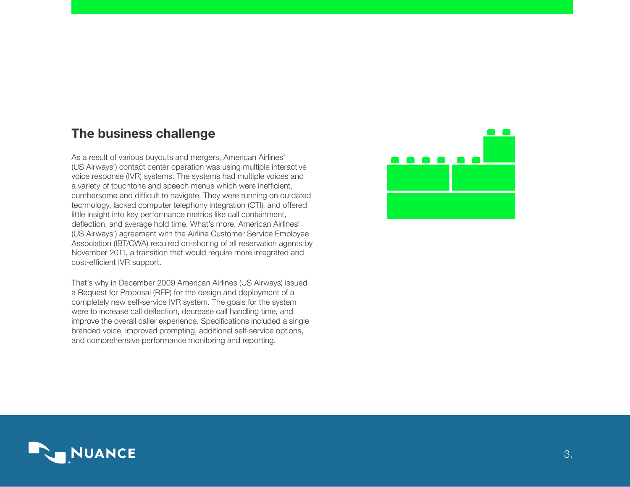## The business challenge

As a result of various buyouts and mergers, American Airlines' (US Airways') contact center operation was using multiple interactive voice response (IVR) systems. The systems had multiple voices and a variety of touchtone and speech menus which were inefficient, cumbersome and difficult to navigate. They were running on outdated technology, lacked computer telephony integration (CTI), and offered little insight into key performance metrics like call containment, deflection, and average hold time. What's more, American Airlines' (US Airways') agreement with the Airline Customer Service Employee Association (IBT/CWA) required on-shoring of all reservation agents by November 2011, a transition that would require more integrated and cost-efficient IVR support.

That's why in December 2009 American Airlines (US Airways) issued a Request for Proposal (RFP) for the design and deployment of a completely new self-service IVR system. The goals for the system were to increase call deflection, decrease call handling time, and improve the overall caller experience. Specifications included a single branded voice, improved prompting, additional self-service options, and comprehensive performance monitoring and reporting.



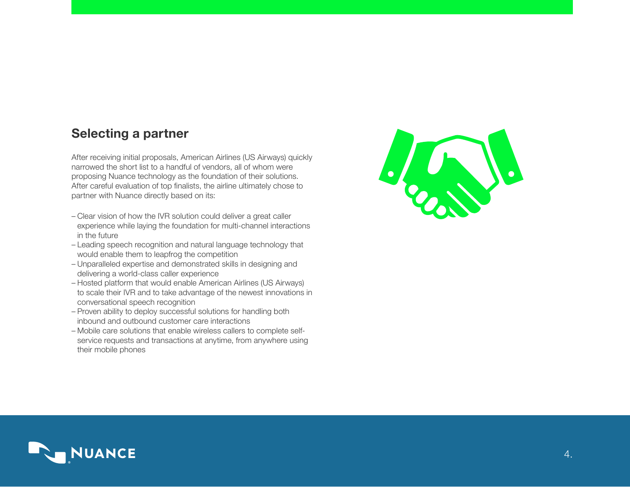## Selecting a partner

After receiving initial proposals, American Airlines (US Airways) quickly narrowed the short list to a handful of vendors, all of whom were proposing Nuance technology as the foundation of their solutions. After careful evaluation of top finalists, the airline ultimately chose to partner with Nuance directly based on its:

- Clear vision of how the IVR solution could deliver a great caller experience while laying the foundation for multi-channel interactions in the future
- Leading speech recognition and natural language technology that would enable them to leapfrog the competition
- Unparalleled expertise and demonstrated skills in designing and delivering a world-class caller experience
- Hosted platform that would enable American Airlines (US Airways) to scale their IVR and to take advantage of the newest innovations in conversational speech recognition
- Proven ability to deploy successful solutions for handling both inbound and outbound customer care interactions
- Mobile care solutions that enable wireless callers to complete selfservice requests and transactions at anytime, from anywhere using their mobile phones



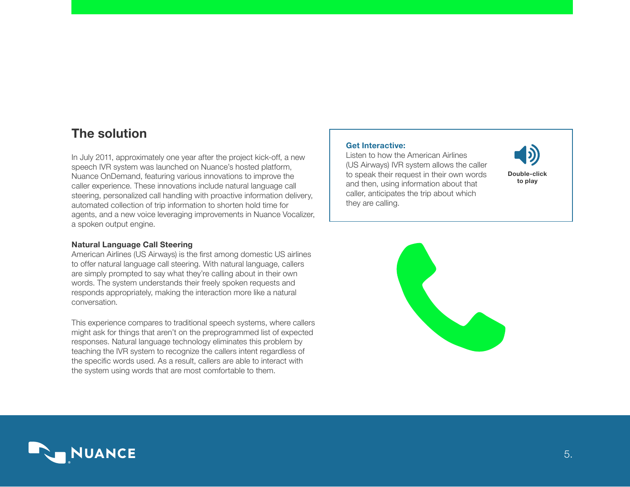## The solution

In July 2011, approximately one year after the project kick-off, a new speech IVR system was launched on Nuance's hosted platform, Nuance OnDemand, featuring various innovations to improve the caller experience. These innovations include natural language call steering, personalized call handling with proactive information delivery, automated collection of trip information to shorten hold time for agents, and a new voice leveraging improvements in Nuance Vocalizer, a spoken output engine.

#### Natural Language Call Steering

American Airlines (US Airways) is the first among domestic US airlines to offer natural language call steering. With natural language, callers are simply prompted to say what they're calling about in their own words. The system understands their freely spoken requests and responds appropriately, making the interaction more like a natural conversation.

This experience compares to traditional speech systems, where callers might ask for things that aren't on the preprogrammed list of expected responses. Natural language technology eliminates this problem by teaching the IVR system to recognize the callers intent regardless of the specific words used. As a result, callers are able to interact with the system using words that are most comfortable to them.

#### Get Interactive:

Listen to how the American Airlines (US Airways) IVR system allows the caller to speak their request in their own words and then, using information about that caller, anticipates the trip about which they are calling.





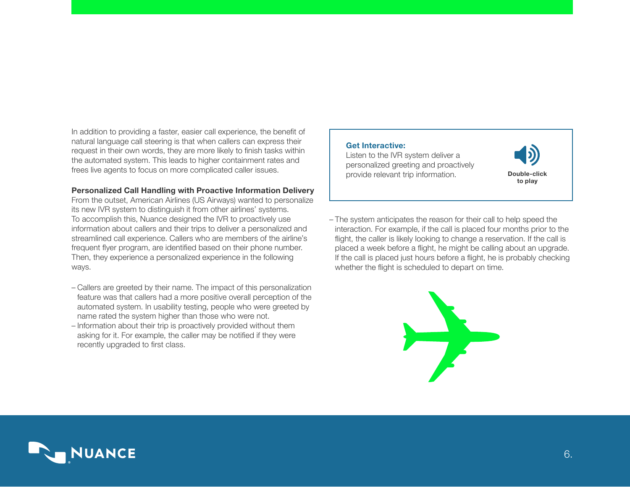In addition to providing a faster, easier call experience, the benefit of natural language call steering is that when callers can express their request in their own words, they are more likely to finish tasks within the automated system. This leads to higher containment rates and frees live agents to focus on more complicated caller issues.

#### Personalized Call Handling with Proactive Information Delivery

From the outset, American Airlines (US Airways) wanted to personalize its new IVR system to distinguish it from other airlines' systems. To accomplish this, Nuance designed the IVR to proactively use information about callers and their trips to deliver a personalized and streamlined call experience. Callers who are members of the airline's frequent flyer program, are identified based on their phone number. Then, they experience a personalized experience in the following ways.

- Callers are greeted by their name. The impact of this personalization feature was that callers had a more positive overall perception of the automated system. In usability testing, people who were greeted by name rated the system higher than those who were not.
- Information about their trip is proactively provided without them asking for it. For example, the caller may be notified if they were recently upgraded to first class.

#### Get Interactive:

Listen to the IVR system deliver a personalized greeting and proactively provide relevant trip information. **[Double-click](http://images.marketing.nuance.com/Web/Nuance/%7B645365c4-c15b-46bf-bbce-a3625b6ff290%7D_AUDIO_FILE_2_AA_UPDATE.mp3)** 



– The system anticipates the reason for their call to help speed the interaction. For example, if the call is placed four months prior to the flight, the caller is likely looking to change a reservation. If the call is placed a week before a flight, he might be calling about an upgrade. If the call is placed just hours before a flight, he is probably checking whether the flight is scheduled to depart on time.



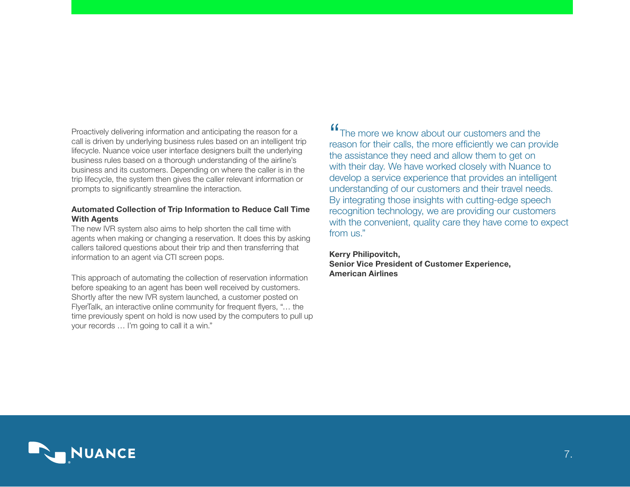Proactively delivering information and anticipating the reason for a call is driven by underlying business rules based on an intelligent trip lifecycle. Nuance voice user interface designers built the underlying business rules based on a thorough understanding of the airline's business and its customers. Depending on where the caller is in the trip lifecycle, the system then gives the caller relevant information or prompts to significantly streamline the interaction.

#### Automated Collection of Trip Information to Reduce Call Time With Agents

The new IVR system also aims to help shorten the call time with agents when making or changing a reservation. It does this by asking callers tailored questions about their trip and then transferring that information to an agent via CTI screen pops.

This approach of automating the collection of reservation information before speaking to an agent has been well received by customers. Shortly after the new IVR system launched, a customer posted on FlyerTalk, an interactive online community for frequent flyers, "… the time previously spent on hold is now used by the computers to pull up your records … I'm going to call it a win."

**"The more we know about our customers and the** reason for their calls, the more efficiently we can provide the assistance they need and allow them to get on with their day. We have worked closely with Nuance to develop a service experience that provides an intelligent understanding of our customers and their travel needs. By integrating those insights with cutting-edge speech recognition technology, we are providing our customers with the convenient, quality care they have come to expect from us."

### Kerry Philipovitch, Senior Vice President of Customer Experience, American Airlines

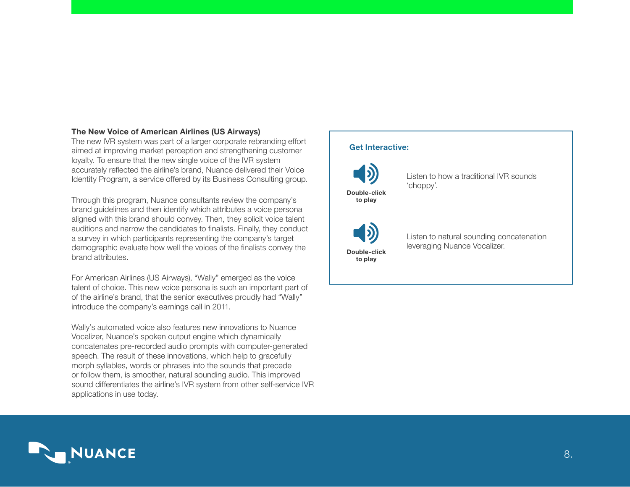#### The New Voice of American Airlines (US Airways)

The new IVR system was part of a larger corporate rebranding effort aimed at improving market perception and strengthening customer loyalty. To ensure that the new single voice of the IVR system accurately reflected the airline's brand, Nuance delivered their Voice Identity Program, a service offered by its Business Consulting group.

Through this program, Nuance consultants review the company's brand guidelines and then identify which attributes a voice persona aligned with this brand should convey. Then, they solicit voice talent auditions and narrow the candidates to finalists. Finally, they conduct a survey in which participants representing the company's target demographic evaluate how well the voices of the finalists convey the brand attributes.

For American Airlines (US Airways), "Wally" emerged as the voice talent of choice. This new voice persona is such an important part of of the airline's brand, that the senior executives proudly had "Wally" introduce the company's earnings call in 2011.

Wally's automated voice also features new innovations to Nuance Vocalizer, Nuance's spoken output engine which dynamically concatenates pre-recorded audio prompts with computer-generated speech. The result of these innovations, which help to gracefully morph syllables, words or phrases into the sounds that precede or follow them, is smoother, natural sounding audio. This improved sound differentiates the airline's IVR system from other self-service IVR applications in use today.

## Get Interactive: Listen to how a traditional IVR sounds 'choppy'. Listen to natural sounding concatenation leveraging Nuance Vocalizer. [Double-click](http://images.marketing.nuance.com/Web/Nuance/%7Bda5a1030-7f06-4046-b592-6c0e5a4317c5%7D_AUDIO_FILE_3_AA_UPDATE.mp3) to play [Double-click](http://images.marketing.nuance.com/Web/Nuance/%7B76d05466-66da-4b8b-be07-ea432a487066%7D_AUDIO_FILE_4_AA_UPDATE.mp3) to play

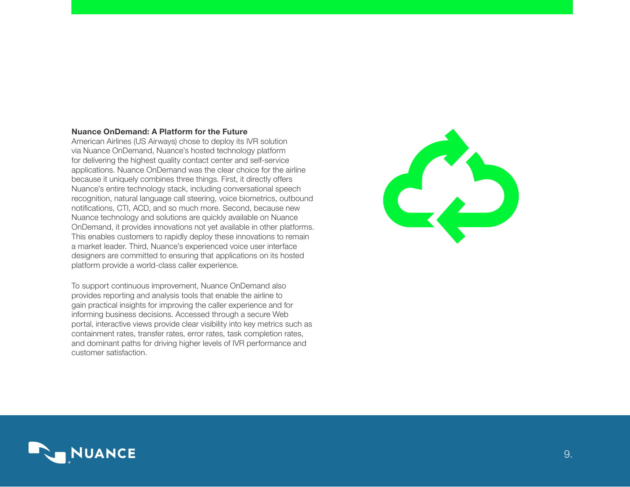#### Nuance OnDemand: A Platform for the Future

American Airlines (US Airways) chose to deploy its IVR solution via Nuance OnDemand, Nuance's hosted technology platform for delivering the highest quality contact center and self-service applications. Nuance OnDemand was the clear choice for the airline because it uniquely combines three things. First, it directly offers Nuance's entire technology stack, including conversational speech recognition, natural language call steering, voice biometrics, outbound notifications, CTI, ACD, and so much more. Second, because new Nuance technology and solutions are quickly available on Nuance OnDemand, it provides innovations not yet available in other platforms. This enables customers to rapidly deploy these innovations to remain a market leader. Third, Nuance's experienced voice user interface designers are committed to ensuring that applications on its hosted platform provide a world-class caller experience.

To support continuous improvement, Nuance OnDemand also provides reporting and analysis tools that enable the airline to gain practical insights for improving the caller experience and for informing business decisions. Accessed through a secure Web portal, interactive views provide clear visibility into key metrics such as containment rates, transfer rates, error rates, task completion rates, and dominant paths for driving higher levels of IVR performance and customer satisfaction.



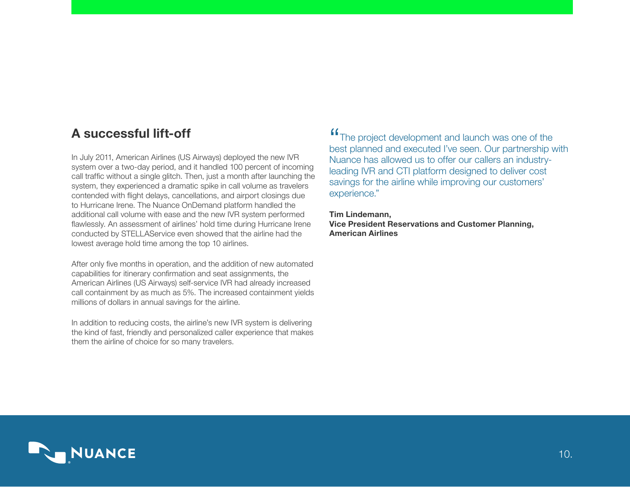## A successful lift-off

In July 2011, American Airlines (US Airways) deployed the new IVR system over a two-day period, and it handled 100 percent of incoming call traffic without a single glitch. Then, just a month after launching the system, they experienced a dramatic spike in call volume as travelers contended with flight delays, cancellations, and airport closings due to Hurricane Irene. The Nuance OnDemand platform handled the additional call volume with ease and the new IVR system performed flawlessly. An assessment of airlines' hold time during Hurricane Irene conducted by STELLAService even showed that the airline had the lowest average hold time among the top 10 airlines.

After only five months in operation, and the addition of new automated capabilities for itinerary confirmation and seat assignments, the American Airlines (US Airways) self-service IVR had already increased call containment by as much as 5%. The increased containment yields millions of dollars in annual savings for the airline.

In addition to reducing costs, the airline's new IVR system is delivering the kind of fast, friendly and personalized caller experience that makes them the airline of choice for so many travelers.

**"The project development and launch was one of the** best planned and executed I've seen. Our partnership with Nuance has allowed us to offer our callers an industryleading IVR and CTI platform designed to deliver cost savings for the airline while improving our customers' experience."

Tim Lindemann, Vice President Reservations and Customer Planning, American Airlines